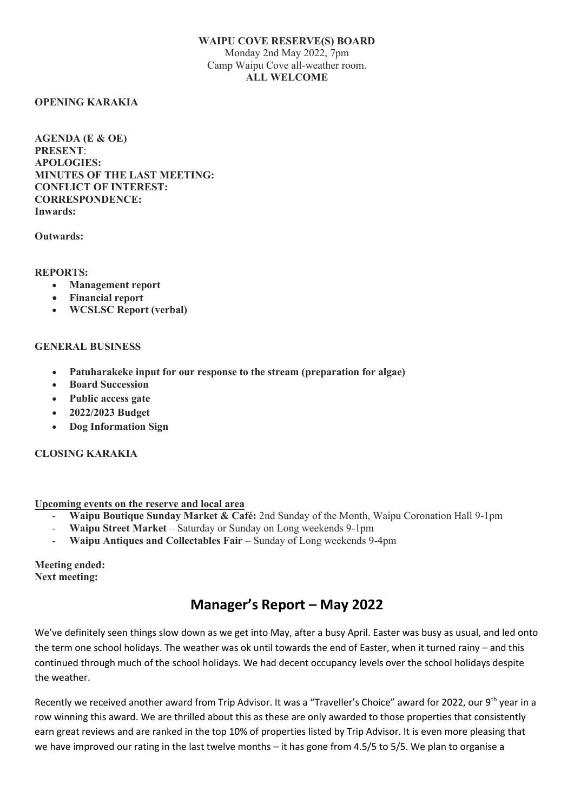### **WAIPU COVE RESERVE(S) BOARD**  Monday 2nd May 2022, 7pm Camp Waipu Cove all-weather room. **ALL WELCOME**

### **OPENING KARAKIA**

**AGENDA (E & OE) PRESENT**: **APOLOGIES: MINUTES OF THE LAST MEETING: CONFLICT OF INTEREST: CORRESPONDENCE: Inwards:**

### **Outwards:**

**REPORTS:**

- **Management report**
- **Financial report**
- **WCSLSC Report (verbal)**

### **GENERAL BUSINESS**

- **Patuharakeke input for our response to the stream (preparation for algae)**
- **Board Succession**
- **Public access gate**
- **2022/2023 Budget**
- **Dog Information Sign**

# **CLOSING KARAKIA**

### **Upcoming events on the reserve and local area**

- **[Waipu Boutique Sunday Market & Café:](http://www.waipumarket.co.nz/)** 2nd Sunday of the Month, Waipu Coronation Hall 9-1pm
- **Waipu Street Market** Saturday or Sunday on Long weekends 9-1pm
- **Waipu Antiques and Collectables Fair** Sunday of Long weekends 9-4pm

**Meeting ended: Next meeting:** 

# **Manager's Report – May 2022**

We've definitely seen things slow down as we get into May, after a busy April. Easter was busy as usual, and led onto the term one school holidays. The weather was ok until towards the end of Easter, when it turned rainy – and this continued through much of the school holidays. We had decent occupancy levels over the school holidays despite the weather.

Recently we received another award from Trip Advisor. It was a "Traveller's Choice" award for 2022, our 9<sup>th</sup> year in a row winning this award. We are thrilled about this as these are only awarded to those properties that consistently earn great reviews and are ranked in the top 10% of properties listed by Trip Advisor. It is even more pleasing that we have improved our rating in the last twelve months – it has gone from 4.5/5 to 5/5. We plan to organise a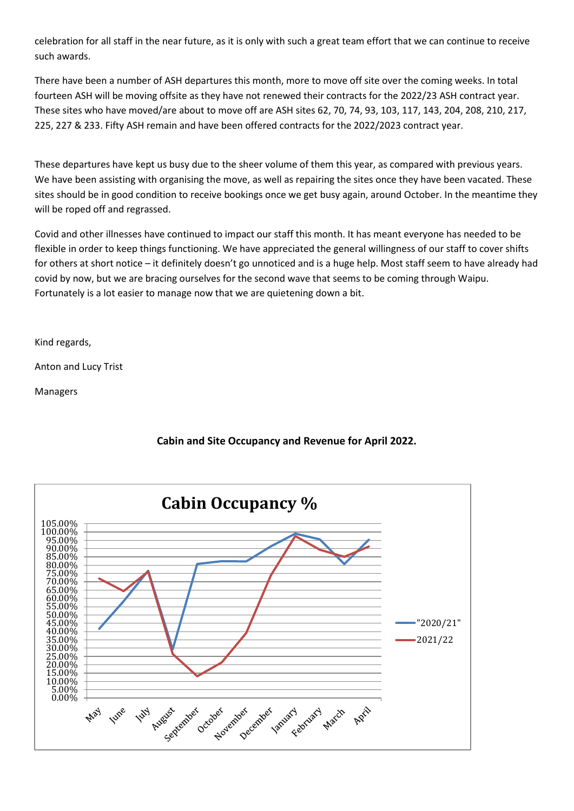celebration for all staff in the near future, as it is only with such a great team effort that we can continue to receive such awards.

There have been a number of ASH departures this month, more to move off site over the coming weeks. In total fourteen ASH will be moving offsite as they have not renewed their contracts for the 2022/23 ASH contract year. These sites who have moved/are about to move off are ASH sites 62, 70, 74, 93, 103, 117, 143, 204, 208, 210, 217, 225, 227 & 233. Fifty ASH remain and have been offered contracts for the 2022/2023 contract year.

These departures have kept us busy due to the sheer volume of them this year, as compared with previous years. We have been assisting with organising the move, as well as repairing the sites once they have been vacated. These sites should be in good condition to receive bookings once we get busy again, around October. In the meantime they will be roped off and regrassed.

Covid and other illnesses have continued to impact our staff this month. It has meant everyone has needed to be flexible in order to keep things functioning. We have appreciated the general willingness of our staff to cover shifts for others at short notice – it definitely doesn't go unnoticed and is a huge help. Most staff seem to have already had covid by now, but we are bracing ourselves for the second wave that seems to be coming through Waipu. Fortunately is a lot easier to manage now that we are quietening down a bit.

Kind regards,

Anton and Lucy Trist

Managers

# **Cabin and Site Occupancy and Revenue for April 2022.**

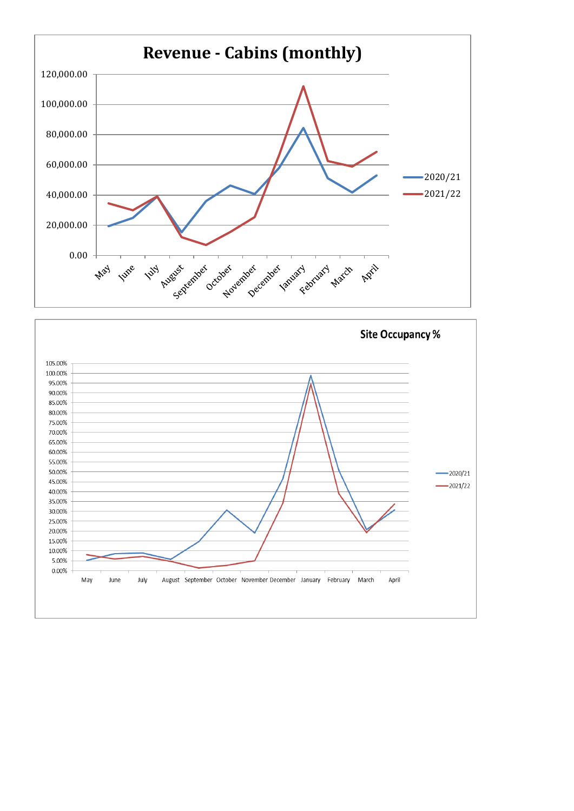

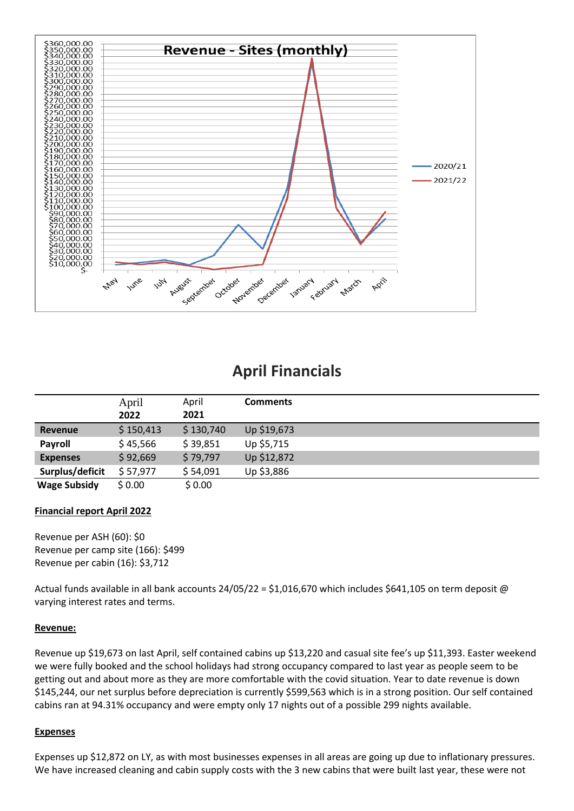

# **April Financials**

|                     | April     | April     | <b>Comments</b> |
|---------------------|-----------|-----------|-----------------|
|                     | 2022      | 2021      |                 |
| <b>Revenue</b>      | \$150,413 | \$130,740 | Up \$19,673     |
| Payroll             | \$45,566  | \$39,851  | Up \$5,715      |
| <b>Expenses</b>     | \$92,669  | \$79,797  | Up \$12,872     |
| Surplus/deficit     | \$57,977  | \$54,091  | Up \$3,886      |
| <b>Wage Subsidy</b> | \$0.00    | \$0.00    |                 |

# **Financial report April 2022**

Revenue per ASH (60): \$0 Revenue per camp site (166): \$499 Revenue per cabin (16): \$3,712

Actual funds available in all bank accounts 24/05/22 = \$1,016,670 which includes \$641,105 on term deposit @ varying interest rates and terms.

# **Revenue:**

Revenue up \$19,673 on last April, self contained cabins up \$13,220 and casual site fee's up \$11,393. Easter weekend we were fully booked and the school holidays had strong occupancy compared to last year as people seem to be getting out and about more as they are more comfortable with the covid situation. Year to date revenue is down \$145,244, our net surplus before depreciation is currently \$599,563 which is in a strong position. Our self contained cabins ran at 94.31% occupancy and were empty only 17 nights out of a possible 299 nights available.

### **Expenses**

Expenses up \$12,872 on LY, as with most businesses expenses in all areas are going up due to inflationary pressures. We have increased cleaning and cabin supply costs with the 3 new cabins that were built last year, these were not